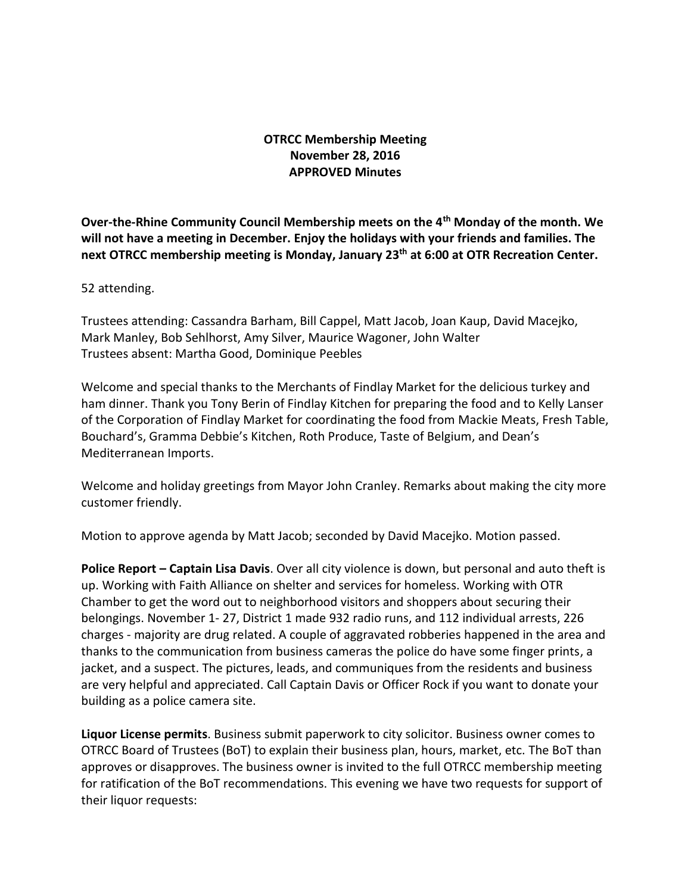# **OTRCC Membership Meeting November 28, 2016 APPROVED Minutes**

**Over-the-Rhine Community Council Membership meets on the 4th Monday of the month. We will not have a meeting in December. Enjoy the holidays with your friends and families. The next OTRCC membership meeting is Monday, January 23 th at 6:00 at OTR Recreation Center.**

52 attending.

Trustees attending: Cassandra Barham, Bill Cappel, Matt Jacob, Joan Kaup, David Macejko, Mark Manley, Bob Sehlhorst, Amy Silver, Maurice Wagoner, John Walter Trustees absent: Martha Good, Dominique Peebles

Welcome and special thanks to the Merchants of Findlay Market for the delicious turkey and ham dinner. Thank you Tony Berin of Findlay Kitchen for preparing the food and to Kelly Lanser of the Corporation of Findlay Market for coordinating the food from Mackie Meats, Fresh Table, Bouchard's, Gramma Debbie's Kitchen, Roth Produce, Taste of Belgium, and Dean's Mediterranean Imports.

Welcome and holiday greetings from Mayor John Cranley. Remarks about making the city more customer friendly.

Motion to approve agenda by Matt Jacob; seconded by David Macejko. Motion passed.

**Police Report – Captain Lisa Davis**. Over all city violence is down, but personal and auto theft is up. Working with Faith Alliance on shelter and services for homeless. Working with OTR Chamber to get the word out to neighborhood visitors and shoppers about securing their belongings. November 1- 27, District 1 made 932 radio runs, and 112 individual arrests, 226 charges - majority are drug related. A couple of aggravated robberies happened in the area and thanks to the communication from business cameras the police do have some finger prints, a jacket, and a suspect. The pictures, leads, and communiques from the residents and business are very helpful and appreciated. Call Captain Davis or Officer Rock if you want to donate your building as a police camera site.

**Liquor License permits**. Business submit paperwork to city solicitor. Business owner comes to OTRCC Board of Trustees (BoT) to explain their business plan, hours, market, etc. The BoT than approves or disapproves. The business owner is invited to the full OTRCC membership meeting for ratification of the BoT recommendations. This evening we have two requests for support of their liquor requests: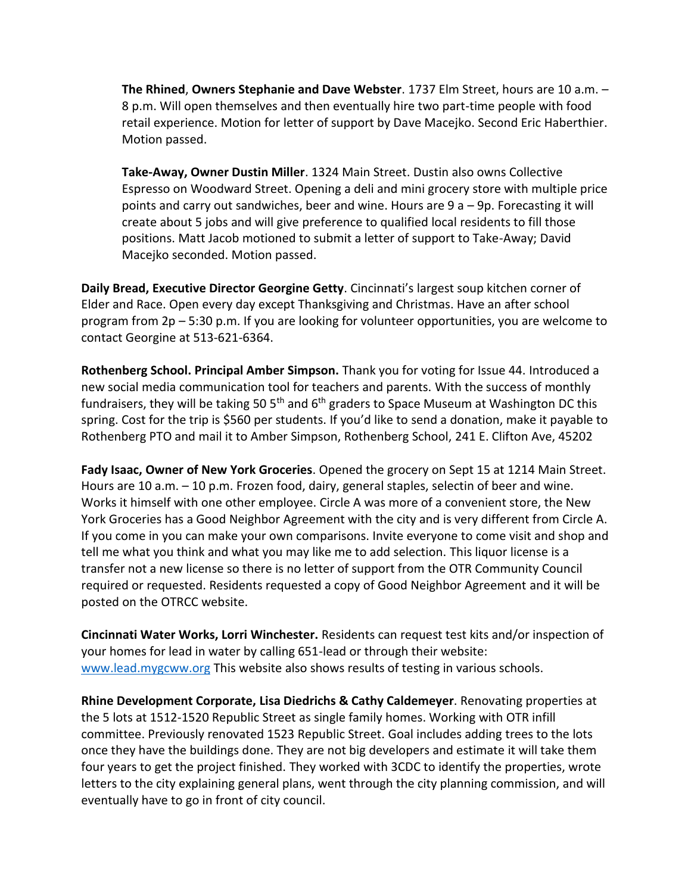**The Rhined**, **Owners Stephanie and Dave Webster**. 1737 Elm Street, hours are 10 a.m. – 8 p.m. Will open themselves and then eventually hire two part-time people with food retail experience. Motion for letter of support by Dave Macejko. Second Eric Haberthier. Motion passed.

**Take-Away, Owner Dustin Miller**. 1324 Main Street. Dustin also owns Collective Espresso on Woodward Street. Opening a deli and mini grocery store with multiple price points and carry out sandwiches, beer and wine. Hours are 9 a – 9p. Forecasting it will create about 5 jobs and will give preference to qualified local residents to fill those positions. Matt Jacob motioned to submit a letter of support to Take-Away; David Macejko seconded. Motion passed.

**Daily Bread, Executive Director Georgine Getty**. Cincinnati's largest soup kitchen corner of Elder and Race. Open every day except Thanksgiving and Christmas. Have an after school program from 2p – 5:30 p.m. If you are looking for volunteer opportunities, you are welcome to contact Georgine at 513-621-6364.

**Rothenberg School. Principal Amber Simpson.** Thank you for voting for Issue 44. Introduced a new social media communication tool for teachers and parents. With the success of monthly fundraisers, they will be taking 50  $5<sup>th</sup>$  and  $6<sup>th</sup>$  graders to Space Museum at Washington DC this spring. Cost for the trip is \$560 per students. If you'd like to send a donation, make it payable to Rothenberg PTO and mail it to Amber Simpson, Rothenberg School, 241 E. Clifton Ave, 45202

**Fady Isaac, Owner of New York Groceries**. Opened the grocery on Sept 15 at 1214 Main Street. Hours are 10 a.m. – 10 p.m. Frozen food, dairy, general staples, selectin of beer and wine. Works it himself with one other employee. Circle A was more of a convenient store, the New York Groceries has a Good Neighbor Agreement with the city and is very different from Circle A. If you come in you can make your own comparisons. Invite everyone to come visit and shop and tell me what you think and what you may like me to add selection. This liquor license is a transfer not a new license so there is no letter of support from the OTR Community Council required or requested. Residents requested a copy of Good Neighbor Agreement and it will be posted on the OTRCC website.

**Cincinnati Water Works, Lorri Winchester.** Residents can request test kits and/or inspection of your homes for lead in water by calling 651-lead or through their website: [www.lead.mygcww.org](http://www.lead.mygcww.org/) This website also shows results of testing in various schools.

**Rhine Development Corporate, Lisa Diedrichs & Cathy Caldemeyer**. Renovating properties at the 5 lots at 1512-1520 Republic Street as single family homes. Working with OTR infill committee. Previously renovated 1523 Republic Street. Goal includes adding trees to the lots once they have the buildings done. They are not big developers and estimate it will take them four years to get the project finished. They worked with 3CDC to identify the properties, wrote letters to the city explaining general plans, went through the city planning commission, and will eventually have to go in front of city council.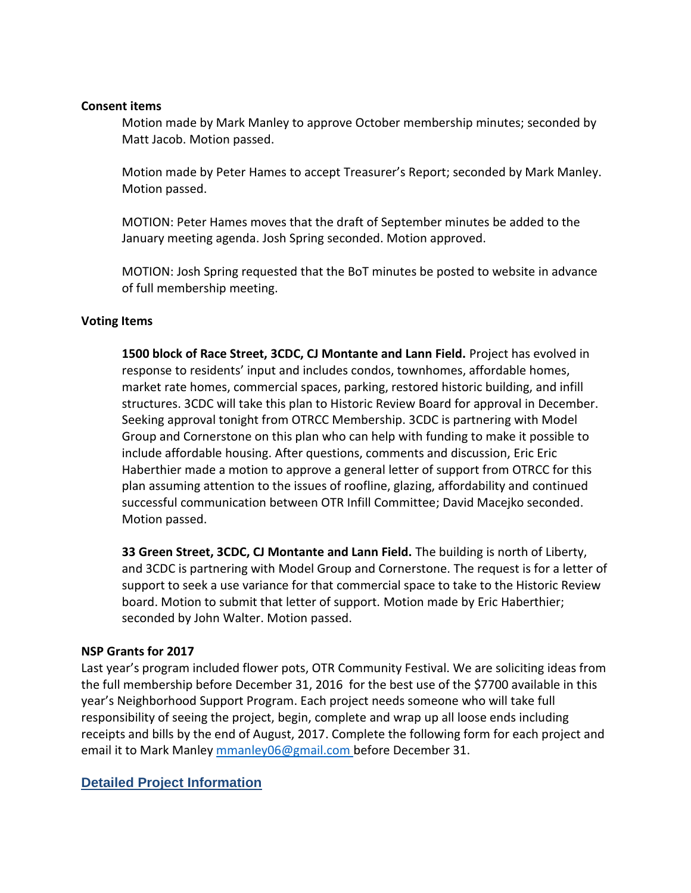#### **Consent items**

Motion made by Mark Manley to approve October membership minutes; seconded by Matt Jacob. Motion passed.

Motion made by Peter Hames to accept Treasurer's Report; seconded by Mark Manley. Motion passed.

MOTION: Peter Hames moves that the draft of September minutes be added to the January meeting agenda. Josh Spring seconded. Motion approved.

MOTION: Josh Spring requested that the BoT minutes be posted to website in advance of full membership meeting.

### **Voting Items**

**1500 block of Race Street, 3CDC, CJ Montante and Lann Field.** Project has evolved in response to residents' input and includes condos, townhomes, affordable homes, market rate homes, commercial spaces, parking, restored historic building, and infill structures. 3CDC will take this plan to Historic Review Board for approval in December. Seeking approval tonight from OTRCC Membership. 3CDC is partnering with Model Group and Cornerstone on this plan who can help with funding to make it possible to include affordable housing. After questions, comments and discussion, Eric Eric Haberthier made a motion to approve a general letter of support from OTRCC for this plan assuming attention to the issues of roofline, glazing, affordability and continued successful communication between OTR Infill Committee; David Macejko seconded. Motion passed.

**33 Green Street, 3CDC, CJ Montante and Lann Field.** The building is north of Liberty, and 3CDC is partnering with Model Group and Cornerstone. The request is for a letter of support to seek a use variance for that commercial space to take to the Historic Review board. Motion to submit that letter of support. Motion made by Eric Haberthier; seconded by John Walter. Motion passed.

## **NSP Grants for 2017**

Last year's program included flower pots, OTR Community Festival. We are soliciting ideas from the full membership before December 31, 2016 for the best use of the \$7700 available in this year's Neighborhood Support Program. Each project needs someone who will take full responsibility of seeing the project, begin, complete and wrap up all loose ends including receipts and bills by the end of August, 2017. Complete the following form for each project and email it to Mark Manley [mmanley06@gmail.com](mailto:mmanley06@gmail.com) before December 31.

## **Detailed Project Information**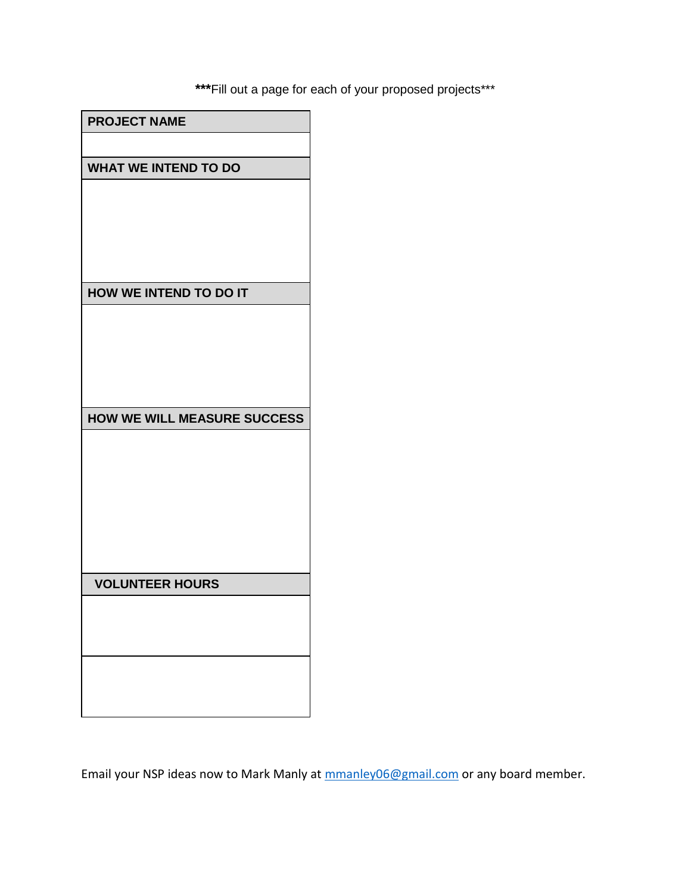**\*\*\***Fill out a page for each of your proposed projects\*\*\*

| <b>PROJECT NAME</b>                |
|------------------------------------|
|                                    |
| <b>WHAT WE INTEND TO DO</b>        |
|                                    |
|                                    |
|                                    |
|                                    |
| HOW WE INTEND TO DO IT             |
|                                    |
|                                    |
|                                    |
|                                    |
|                                    |
| <b>HOW WE WILL MEASURE SUCCESS</b> |
|                                    |
|                                    |
|                                    |
|                                    |
|                                    |
|                                    |
| <b>VOLUNTEER HOURS</b>             |
|                                    |
|                                    |
|                                    |
|                                    |
|                                    |
|                                    |

Email your NSP ideas now to Mark Manly at [mmanley06@gmail.com](mailto:mmanley06@gmail.com) or any board member.